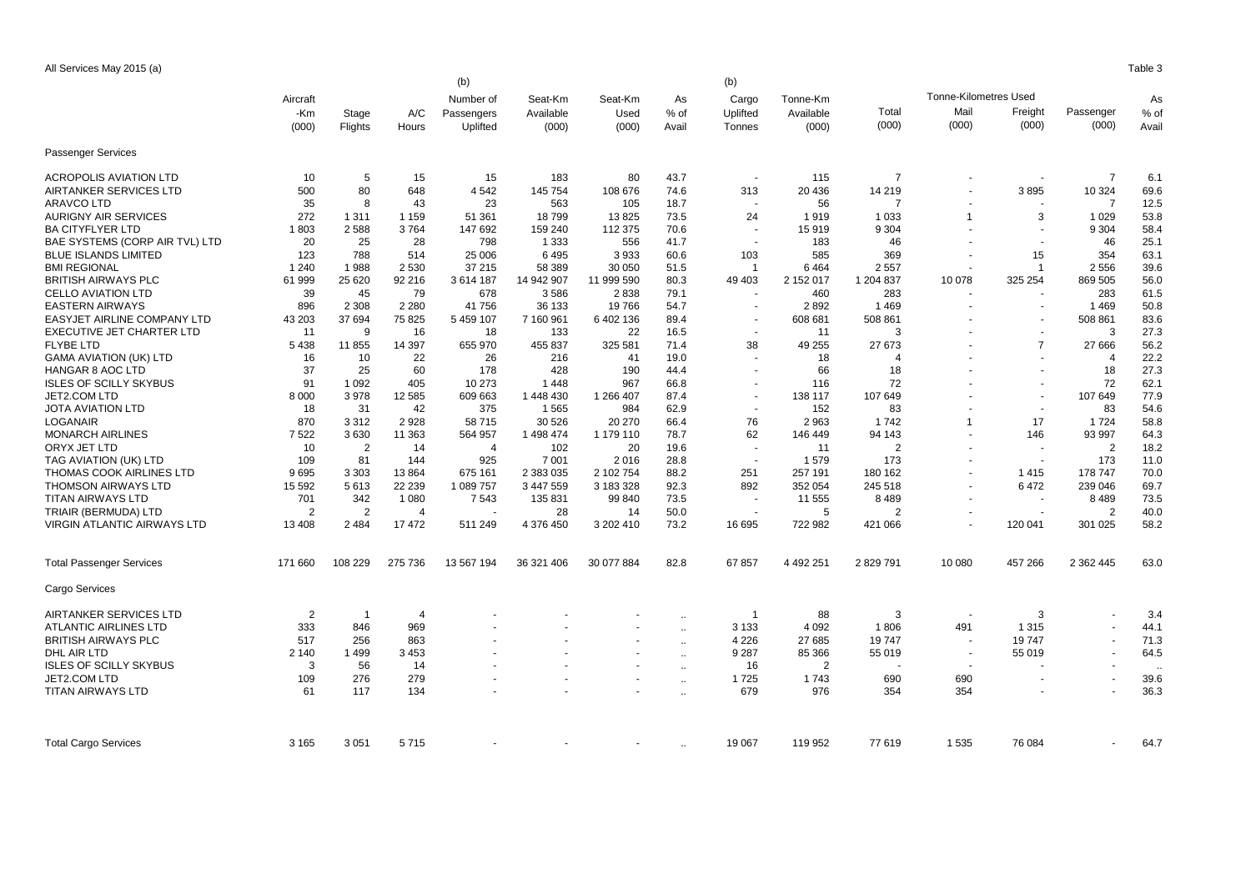All Services May 2015 (a) Table 3

|                                    | (b)<br>(b) |                |                |                |            |                          |              |                          |               |                |                              |                          |                |       |  |
|------------------------------------|------------|----------------|----------------|----------------|------------|--------------------------|--------------|--------------------------|---------------|----------------|------------------------------|--------------------------|----------------|-------|--|
|                                    | Aircraft   |                |                | Number of      | Seat-Km    | Seat-Km                  | As           | Cargo                    | Tonne-Km      |                | <b>Tonne-Kilometres Used</b> |                          |                | As    |  |
|                                    | -Km        | Stage          | A/C            | Passengers     | Available  | Used                     | % of         | Uplifted                 | Available     | Total          | Mail                         | Freight                  | Passenger      | % of  |  |
|                                    | (000)      | Flights        | Hours          | Uplifted       | (000)      | (000)                    | Avail        | Tonnes                   | (000)         | (000)          | (000)                        | (000)                    | (000)          | Avail |  |
|                                    |            |                |                |                |            |                          |              |                          |               |                |                              |                          |                |       |  |
| Passenger Services                 |            |                |                |                |            |                          |              |                          |               |                |                              |                          |                |       |  |
| <b>ACROPOLIS AVIATION LTD</b>      | 10         | 5              | 15             | 15             | 183        | 80                       | 43.7         |                          | 115           | $\overline{7}$ |                              |                          | 7              | 6.1   |  |
| AIRTANKER SERVICES LTD             | 500        | 80             | 648            | 4542           | 145 754    | 108 676                  | 74.6         | 313                      | 20 436        | 14 219         |                              | 3895                     | 10 324         | 69.6  |  |
| <b>ARAVCO LTD</b>                  | 35         | 8              | 43             | 23             | 563        | 105                      | 18.7         |                          | 56            | 7              |                              |                          | $\overline{7}$ | 12.5  |  |
| <b>AURIGNY AIR SERVICES</b>        | 272        | 1 3 1 1        | 1 1 5 9        | 51 361         | 18799      | 13825                    | 73.5         | 24                       | 1919          | 1 0 3 3        | $\mathbf{1}$                 | 3                        | 1 0 2 9        | 53.8  |  |
| <b>BA CITYFLYER LTD</b>            | 1803       | 2588           | 3764           | 147 692        | 159 240    | 112 375                  | 70.6         |                          | 15919         | 9 3 0 4        |                              |                          | 9 3 0 4        | 58.4  |  |
| BAE SYSTEMS (CORP AIR TVL) LTD     | 20         | 25             | 28             | 798            | 1 3 3 3    | 556                      | 41.7         | $\overline{\phantom{a}}$ | 183           | 46             |                              | $\overline{\phantom{a}}$ | 46             | 25.1  |  |
| <b>BLUE ISLANDS LIMITED</b>        | 123        | 788            | 514            | 25 006         | 6495       | 3933                     | 60.6         | 103                      | 585           | 369            |                              | 15                       | 354            | 63.1  |  |
| <b>BMI REGIONAL</b>                | 1 2 4 0    | 1988           | 2 5 3 0        | 37 215         | 58 389     | 30 050                   | 51.5         | $\mathbf{1}$             | 6464          | 2557           |                              | -1                       | 2556           | 39.6  |  |
| <b>BRITISH AIRWAYS PLC</b>         | 61 999     | 25 6 20        | 92 216         | 3 614 187      | 14 942 907 | 11 999 590               | 80.3         | 49 403                   | 2 152 017     | 1 204 837      | 10 078                       | 325 254                  | 869 505        | 56.0  |  |
| <b>CELLO AVIATION LTD</b>          | 39         | 45             | 79             | 678            | 3586       | 2838                     | 79.1         |                          | 460           | 283            |                              |                          | 283            | 61.5  |  |
| <b>EASTERN AIRWAYS</b>             | 896        | 2 3 0 8        | 2 2 8 0        | 41756          | 36 133     | 19766                    | 54.7         |                          | 2892          | 1469           |                              | $\overline{\phantom{a}}$ | 1469           | 50.8  |  |
| EASYJET AIRLINE COMPANY LTD        | 43 203     | 37 694         | 75 825         | 5 459 107      | 7 160 961  | 6 402 136                | 89.4         |                          | 608 681       | 508 861        |                              |                          | 508 861        | 83.6  |  |
| EXECUTIVE JET CHARTER LTD          | 11         | 9              | 16             | 18             | 133        | 22                       | 16.5         |                          | 11            | 3              |                              | $\overline{\phantom{a}}$ | 3              | 27.3  |  |
| <b>FLYBE LTD</b>                   | 5438       | 11 855         | 14 397         | 655 970        | 455 837    | 325 581                  | 71.4         | 38                       | 49 255        | 27 673         |                              | $\overline{7}$           | 27 666         | 56.2  |  |
| <b>GAMA AVIATION (UK) LTD</b>      | 16         | 10             | 22             | 26             | 216        | 41                       | 19.0         |                          | 18            | 4              |                              |                          | $\overline{4}$ | 22.2  |  |
| <b>HANGAR 8 AOC LTD</b>            | 37         | 25             | 60             | 178            | 428        | 190                      | 44.4         | ÷.                       | 66            | 18             |                              | $\sim$                   | 18             | 27.3  |  |
| <b>ISLES OF SCILLY SKYBUS</b>      | 91         | 1 0 9 2        | 405            | 10 273         | 1448       | 967                      | 66.8         |                          | 116           | 72             |                              |                          | 72             | 62.1  |  |
| JET2.COM LTD                       | 8 0 0 0    | 3978           | 12 5 8 5       | 609 663        | 1 448 430  | 1 266 407                | 87.4         | $\sim$                   | 138 117       | 107 649        |                              |                          | 107 649        | 77.9  |  |
| <b>JOTA AVIATION LTD</b>           | 18         | 31             | 42             | 375            | 1565       | 984                      | 62.9         |                          | 152           | 83             |                              | $\overline{\phantom{a}}$ | 83             | 54.6  |  |
| LOGANAIR                           | 870        | 3 3 1 2        | 2928           | 58 715         | 30 526     | 20 270                   | 66.4         | 76                       | 2 9 6 3       | 1742           | 1                            | 17                       | 1724           | 58.8  |  |
| <b>MONARCH AIRLINES</b>            | 7522       | 3630           | 11 363         | 564 957        | 1 498 474  | 1 179 110                | 78.7         | 62                       | 146 449       | 94 143         |                              | 146                      | 93 997         | 64.3  |  |
| ORYX JET LTD                       | 10         | $\overline{2}$ | 14             | $\overline{4}$ | 102        | 20                       | 19.6         |                          | 11            | $\overline{2}$ |                              |                          | 2              | 18.2  |  |
| TAG AVIATION (UK) LTD              | 109        | 81             | 144            | 925            | 7 0 0 1    | 2016                     | 28.8         |                          | 1579          | 173            |                              |                          | 173            | 11.0  |  |
| <b>THOMAS COOK AIRLINES LTD</b>    | 9695       | 3 3 0 3        | 13864          | 675 161        | 2 383 035  | 2 102 754                | 88.2         | 251                      | 257 191       | 180 162        |                              | 1415                     | 178 747        | 70.0  |  |
| <b>THOMSON AIRWAYS LTD</b>         | 15 5 9 2   | 5613           | 22 239         | 1 089 757      | 3 447 559  | 3 183 328                | 92.3         | 892                      | 352 054       | 245 518        |                              | 6472                     | 239 046        | 69.7  |  |
| <b>TITAN AIRWAYS LTD</b>           | 701        | 342            | 1 0 8 0        | 7543           | 135 831    | 99 840                   | 73.5         |                          | 11 555        | 8489           |                              | $\overline{\phantom{a}}$ | 8 4 8 9        | 73.5  |  |
| TRIAIR (BERMUDA) LTD               | 2          | $\overline{2}$ | 4              |                | 28         | 14                       | 50.0         |                          | 5             | 2              |                              | $\overline{\phantom{a}}$ | $\overline{2}$ | 40.0  |  |
| <b>VIRGIN ATLANTIC AIRWAYS LTD</b> | 13 4 08    | 2 4 8 4        | 17 472         | 511 249        | 4 376 450  | 3 202 410                | 73.2         | 16 695                   | 722 982       | 421 066        |                              | 120 041                  | 301 025        | 58.2  |  |
|                                    |            |                |                |                |            |                          |              |                          |               |                |                              |                          |                |       |  |
| <b>Total Passenger Services</b>    | 171 660    | 108 229        | 275 736        | 13 567 194     | 36 321 406 | 30 077 884               | 82.8         | 67857                    | 4 4 9 2 2 5 1 | 2829791        | 10 080                       | 457 266                  | 2 3 6 2 4 4 5  | 63.0  |  |
| Cargo Services                     |            |                |                |                |            |                          |              |                          |               |                |                              |                          |                |       |  |
| AIRTANKER SERVICES LTD             | 2          | $\overline{1}$ | $\overline{4}$ |                |            |                          | $\ddotsc$    | $\mathbf 1$              | 88            | 3              |                              | 3                        |                | 3.4   |  |
| <b>ATLANTIC AIRLINES LTD</b>       | 333        | 846            | 969            |                |            |                          | $\mathbf{r}$ | 3 1 3 3                  | 4 0 9 2       | 1806           | 491                          | 1 3 1 5                  |                | 44.1  |  |
| <b>BRITISH AIRWAYS PLC</b>         | 517        | 256            | 863            |                |            |                          | $\ddotsc$    | 4 2 2 6                  | 27 685        | 19747          |                              | 19747                    |                | 71.3  |  |
| DHL AIR LTD                        | 2 1 4 0    | 1499           | 3 4 5 3        |                |            |                          | $\ddotsc$    | 9 2 8 7                  | 85 366        | 55 019         |                              | 55 019                   |                | 64.5  |  |
| <b>ISLES OF SCILLY SKYBUS</b>      | 3          | 56             | 14             |                |            |                          | $\ddotsc$    | 16                       | 2             |                |                              |                          |                |       |  |
| JET2.COM LTD                       | 109        | 276            | 279            |                |            | $\overline{\phantom{a}}$ | $\ddotsc$    | 1725                     | 1743          | 690            | 690                          |                          |                | 39.6  |  |
| <b>TITAN AIRWAYS LTD</b>           | 61         | 117            | 134            |                |            |                          | $\ddotsc$    | 679                      | 976           | 354            | 354                          |                          |                | 36.3  |  |
|                                    |            |                |                |                |            |                          |              |                          |               |                |                              |                          |                |       |  |
| <b>Total Cargo Services</b>        | 3 1 6 5    | 3 0 5 1        | 5715           |                |            |                          |              | 19 067                   | 119 952       | 77 619         | 1535                         | 76 084                   |                | 64.7  |  |
|                                    |            |                |                |                |            |                          |              |                          |               |                |                              |                          |                |       |  |